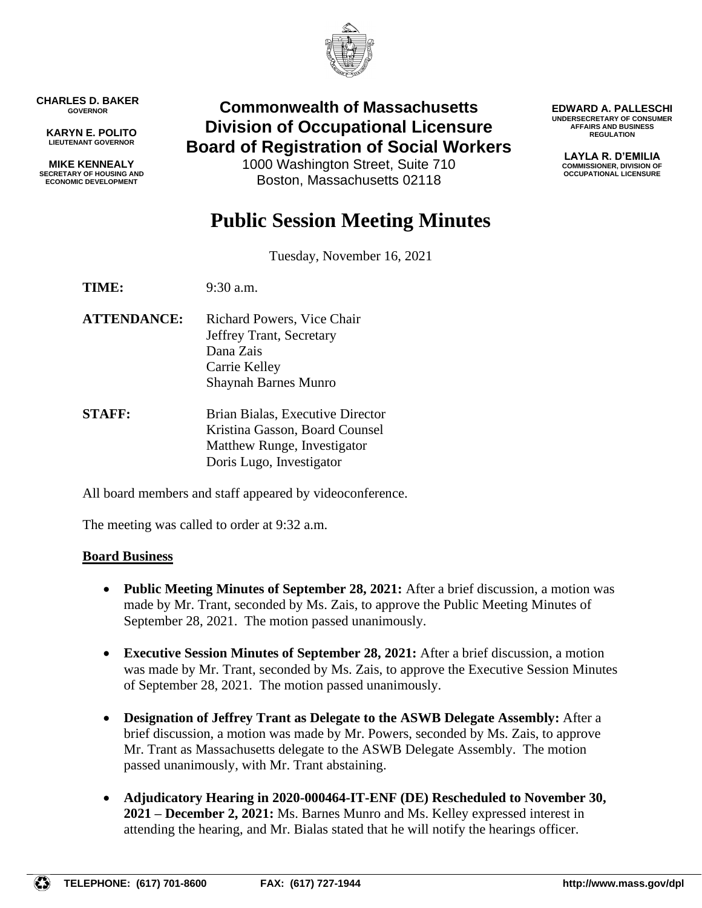

**CHARLES D. BAKER GOVERNOR**

**KARYN E. POLITO LIEUTENANT GOVERNOR**

**MIKE KENNEALY SECRETARY OF HOUSING AND ECONOMIC DEVELOPMENT**

# **Commonwealth of Massachusetts Division of Occupational Licensure Board of Registration of Social Workers**

1000 Washington Street, Suite 710 Boston, Massachusetts 02118

**EDWARD A. PALLESCHI UNDERSECRETARY OF CONSUMER AFFAIRS AND BUSINESS REGULATION**

> **LAYLA R. D'EMILIA COMMISSIONER, DIVISION OF OCCUPATIONAL LICENSURE**

# **Public Session Meeting Minutes**

Tuesday, November 16, 2021

**TIME:** 9:30 a.m.

- **ATTENDANCE:** Richard Powers, Vice Chair Jeffrey Trant, Secretary Dana Zais Carrie Kelley Shaynah Barnes Munro
- **STAFF:** Brian Bialas, Executive Director Kristina Gasson, Board Counsel Matthew Runge, Investigator Doris Lugo, Investigator

All board members and staff appeared by videoconference.

The meeting was called to order at 9:32 a.m.

### **Board Business**

- **Public Meeting Minutes of September 28, 2021:** After a brief discussion, a motion was made by Mr. Trant, seconded by Ms. Zais, to approve the Public Meeting Minutes of September 28, 2021. The motion passed unanimously.
- **Executive Session Minutes of September 28, 2021:** After a brief discussion, a motion was made by Mr. Trant, seconded by Ms. Zais, to approve the Executive Session Minutes of September 28, 2021. The motion passed unanimously.
- **Designation of Jeffrey Trant as Delegate to the ASWB Delegate Assembly:** After a brief discussion, a motion was made by Mr. Powers, seconded by Ms. Zais, to approve Mr. Trant as Massachusetts delegate to the ASWB Delegate Assembly. The motion passed unanimously, with Mr. Trant abstaining.
- **Adjudicatory Hearing in 2020-000464-IT-ENF (DE) Rescheduled to November 30, 2021 – December 2, 2021:** Ms. Barnes Munro and Ms. Kelley expressed interest in attending the hearing, and Mr. Bialas stated that he will notify the hearings officer.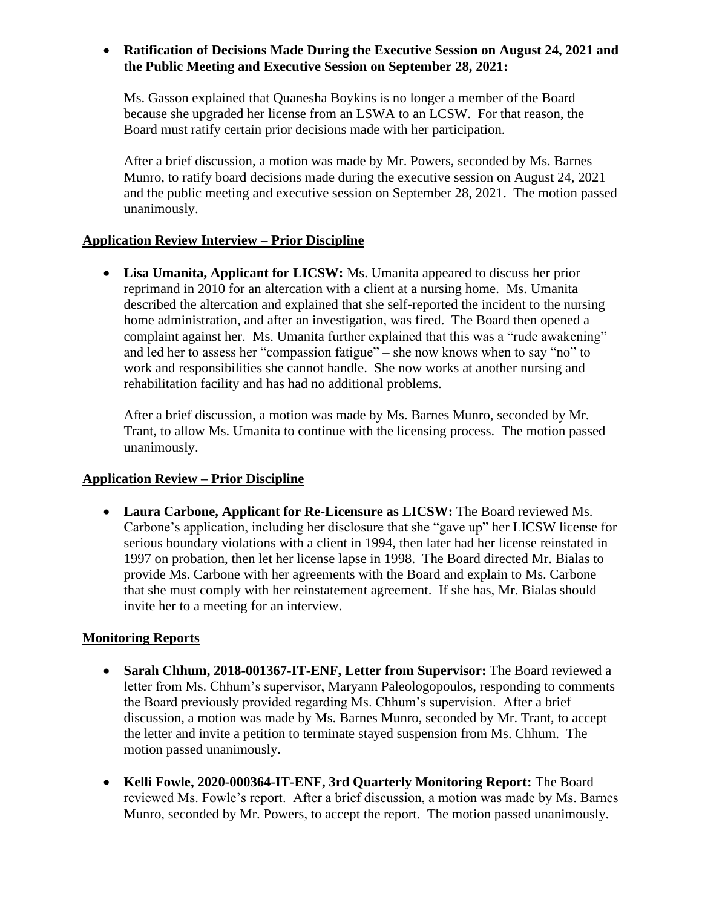# • **Ratification of Decisions Made During the Executive Session on August 24, 2021 and the Public Meeting and Executive Session on September 28, 2021:**

Ms. Gasson explained that Quanesha Boykins is no longer a member of the Board because she upgraded her license from an LSWA to an LCSW. For that reason, the Board must ratify certain prior decisions made with her participation.

After a brief discussion, a motion was made by Mr. Powers, seconded by Ms. Barnes Munro, to ratify board decisions made during the executive session on August 24, 2021 and the public meeting and executive session on September 28, 2021. The motion passed unanimously.

# **Application Review Interview – Prior Discipline**

• **Lisa Umanita, Applicant for LICSW:** Ms. Umanita appeared to discuss her prior reprimand in 2010 for an altercation with a client at a nursing home. Ms. Umanita described the altercation and explained that she self-reported the incident to the nursing home administration, and after an investigation, was fired. The Board then opened a complaint against her. Ms. Umanita further explained that this was a "rude awakening" and led her to assess her "compassion fatigue" – she now knows when to say "no" to work and responsibilities she cannot handle. She now works at another nursing and rehabilitation facility and has had no additional problems.

After a brief discussion, a motion was made by Ms. Barnes Munro, seconded by Mr. Trant, to allow Ms. Umanita to continue with the licensing process. The motion passed unanimously.

# **Application Review – Prior Discipline**

• **Laura Carbone, Applicant for Re-Licensure as LICSW:** The Board reviewed Ms. Carbone's application, including her disclosure that she "gave up" her LICSW license for serious boundary violations with a client in 1994, then later had her license reinstated in 1997 on probation, then let her license lapse in 1998. The Board directed Mr. Bialas to provide Ms. Carbone with her agreements with the Board and explain to Ms. Carbone that she must comply with her reinstatement agreement. If she has, Mr. Bialas should invite her to a meeting for an interview.

# **Monitoring Reports**

- **Sarah Chhum, 2018-001367-IT-ENF, Letter from Supervisor:** The Board reviewed a letter from Ms. Chhum's supervisor, Maryann Paleologopoulos, responding to comments the Board previously provided regarding Ms. Chhum's supervision. After a brief discussion, a motion was made by Ms. Barnes Munro, seconded by Mr. Trant, to accept the letter and invite a petition to terminate stayed suspension from Ms. Chhum. The motion passed unanimously.
- **Kelli Fowle, 2020-000364-IT-ENF, 3rd Quarterly Monitoring Report:** The Board reviewed Ms. Fowle's report. After a brief discussion, a motion was made by Ms. Barnes Munro, seconded by Mr. Powers, to accept the report. The motion passed unanimously.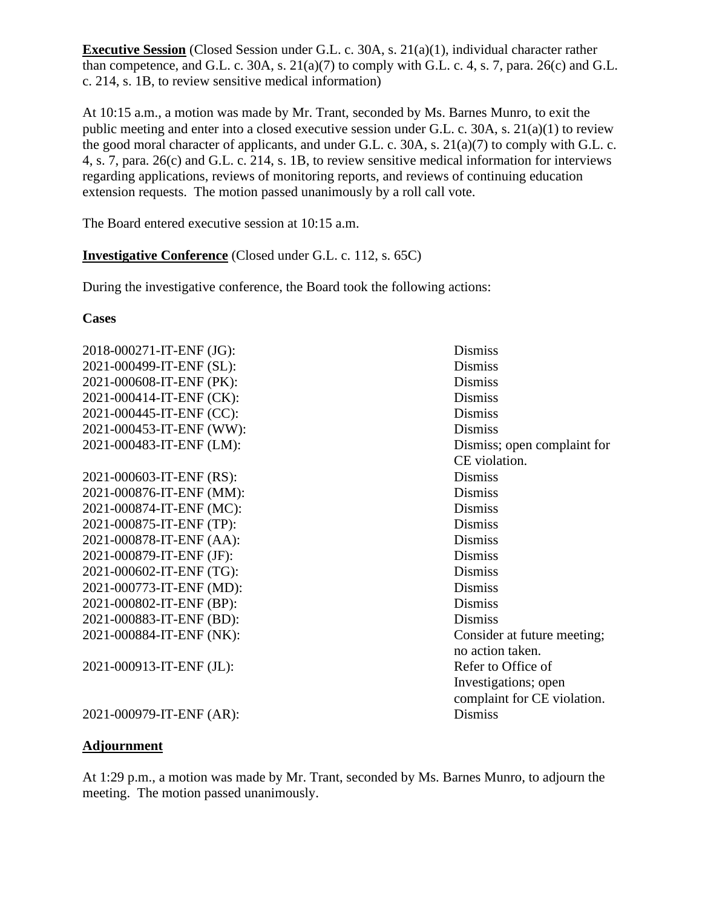**Executive Session** (Closed Session under G.L. c. 30A, s. 21(a)(1), individual character rather than competence, and G.L. c. 30A, s.  $21(a)(7)$  to comply with G.L. c. 4, s. 7, para. 26(c) and G.L. c. 214, s. 1B, to review sensitive medical information)

At 10:15 a.m., a motion was made by Mr. Trant, seconded by Ms. Barnes Munro, to exit the public meeting and enter into a closed executive session under G.L. c. 30A, s. 21(a)(1) to review the good moral character of applicants, and under G.L. c. 30A, s. 21(a)(7) to comply with G.L. c. 4, s. 7, para. 26(c) and G.L. c. 214, s. 1B, to review sensitive medical information for interviews regarding applications, reviews of monitoring reports, and reviews of continuing education extension requests. The motion passed unanimously by a roll call vote.

The Board entered executive session at 10:15 a.m.

# **Investigative Conference** (Closed under G.L. c. 112, s. 65C)

During the investigative conference, the Board took the following actions:

### **Cases**

2018-000271-IT-ENF (JG): Dismiss 2021-000499-IT-ENF (SL): Dismiss 2021-000608-IT-ENF (PK): Dismiss 2021-000414-IT-ENF (CK): Dismiss 2021-000445-IT-ENF (CC): Dismiss 2021-000453-IT-ENF (WW): Dismiss 2021-000603-IT-ENF (RS): Dismiss 2021-000876-IT-ENF (MM): Dismiss 2021-000874-IT-ENF (MC): Dismiss 2021-000875-IT-ENF (TP): Dismiss 2021-000878-IT-ENF (AA): Dismiss 2021-000879-IT-ENF (JF): Dismiss 2021-000602-IT-ENF (TG): Dismiss 2021-000773-IT-ENF (MD): Dismiss 2021-000802-IT-ENF (BP): Dismiss 2021-000883-IT-ENF (BD): Dismiss 2021-000884-IT-ENF (NK): Consider at future meeting;

2021-000913-IT-ENF (JL): Refer to Office of

2021-000483-IT-ENF (LM): Dismiss; open complaint for CE violation. no action taken. Investigations; open complaint for CE violation.

2021-000979-IT-ENF (AR): Dismiss

### **Adjournment**

At 1:29 p.m., a motion was made by Mr. Trant, seconded by Ms. Barnes Munro, to adjourn the meeting. The motion passed unanimously.